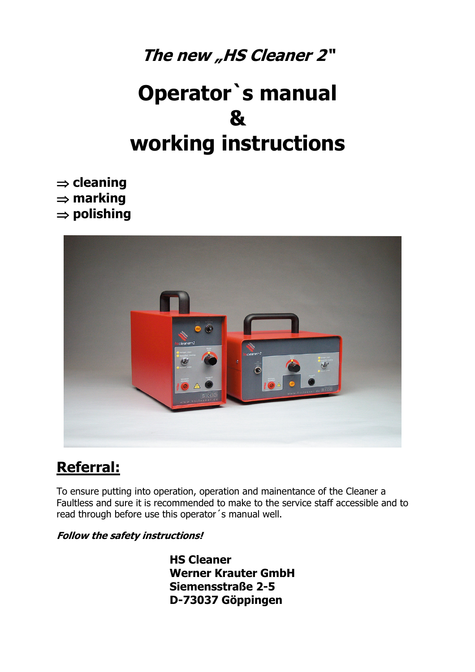## The new "HS Cleaner 2"

# **Operator`s manual & working instructions**

⇒ **cleaning**  ⇒ **marking**  ⇒ **polishing** 



### **Referral:**

To ensure putting into operation, operation and mainentance of the Cleaner a Faultless and sure it is recommended to make to the service staff accessible and to read through before use this operator´s manual well.

#### **Follow the safety instructions!**

**HS Cleaner Werner Krauter GmbH Siemensstraße 2-5 D-73037 Göppingen**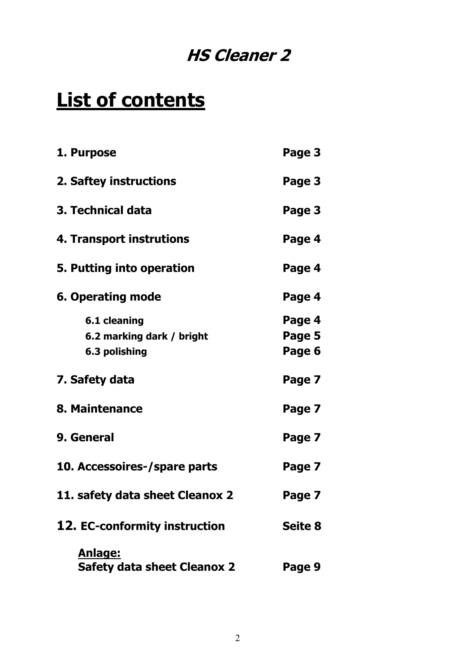## **HS Cleaner 2**

# **List of contents**

| 1. Purpose                                    | Page 3         |
|-----------------------------------------------|----------------|
| 2. Saftey instructions                        | Page 3         |
| 3. Technical data                             | Page 3         |
| 4. Transport instrutions                      | Page 4         |
| 5. Putting into operation                     | Page 4         |
| <b>6. Operating mode</b>                      | Page 4         |
| 6.1 cleaning                                  | Page 4         |
| 6.2 marking dark / bright                     | Page 5         |
| 6.3 polishing                                 | Page 6         |
| 7. Safety data                                | Page 7         |
| 8. Maintenance                                | Page 7         |
| 9. General                                    | Page 7         |
| 10. Accessoires-/spare parts                  | Page 7         |
| 11. safety data sheet Cleanox 2               | Page 7         |
| 12. EC-conformity instruction                 | <b>Seite 8</b> |
| Anlage:<br><b>Safety data sheet Cleanox 2</b> | Page 9         |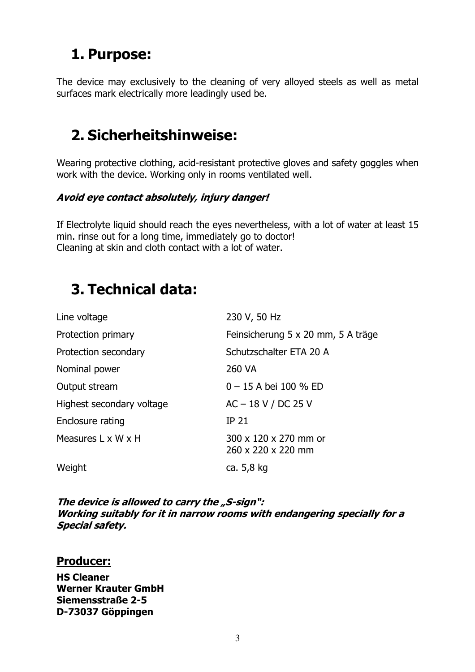### **1. Purpose:**

The device may exclusively to the cleaning of very alloyed steels as well as metal surfaces mark electrically more leadingly used be.

### **2. Sicherheitshinweise:**

Wearing protective clothing, acid-resistant protective gloves and safety goggles when work with the device. Working only in rooms ventilated well.

#### **Avoid eye contact absolutely, injury danger!**

If Electrolyte liquid should reach the eyes nevertheless, with a lot of water at least 15 min. rinse out for a long time, immediately go to doctor! Cleaning at skin and cloth contact with a lot of water.

### **3. Technical data:**

| Line voltage              | 230 V, 50 Hz                                |
|---------------------------|---------------------------------------------|
| Protection primary        | Feinsicherung 5 x 20 mm, 5 A träge          |
| Protection secondary      | Schutzschalter ETA 20 A                     |
| Nominal power             | 260 VA                                      |
| Output stream             | $0 - 15$ A bei 100 % ED                     |
| Highest secondary voltage | $AC - 18 V / DC 25 V$                       |
| Enclosure rating          | <b>IP 21</b>                                |
| Measures L x W x H        | 300 x 120 x 270 mm or<br>260 x 220 x 220 mm |
| Weight                    | ca. 5,8 kg                                  |
|                           |                                             |

The device is allowed to carry the "S-sign": **Working suitably for it in narrow rooms with endangering specially for a Special safety.** 

#### **Producer:**

**HS Cleaner Werner Krauter GmbH Siemensstraße 2-5 D-73037 Göppingen**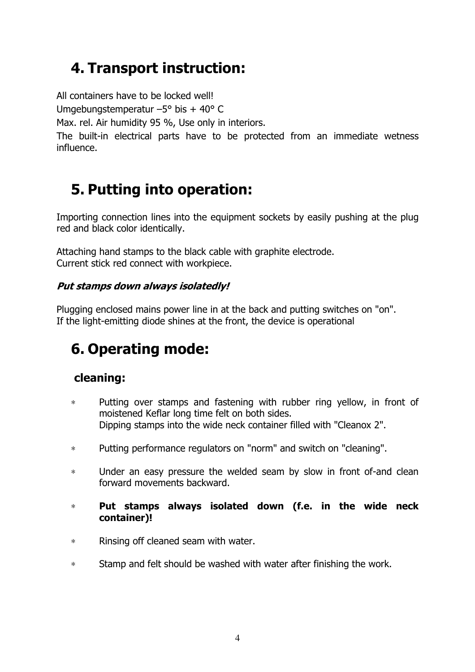### **4. Transport instruction:**

All containers have to be locked well!

Umgebungstemperatur –5° bis + 40° C

Max. rel. Air humidity 95 %, Use only in interiors.

The built-in electrical parts have to be protected from an immediate wetness influence.

### **5. Putting into operation:**

Importing connection lines into the equipment sockets by easily pushing at the plug red and black color identically.

Attaching hand stamps to the black cable with graphite electrode. Current stick red connect with workpiece.

#### **Put stamps down always isolatedly!**

Plugging enclosed mains power line in at the back and putting switches on "on". If the light-emitting diode shines at the front, the device is operational

## **6. Operating mode:**

### **cleaning:**

- ∗ Putting over stamps and fastening with rubber ring yellow, in front of moistened Keflar long time felt on both sides. Dipping stamps into the wide neck container filled with "Cleanox 2".
- ∗ Putting performance regulators on "norm" and switch on "cleaning".
- ∗ Under an easy pressure the welded seam by slow in front of-and clean forward movements backward.
- ∗ **Put stamps always isolated down (f.e. in the wide neck container)!**
- ∗ Rinsing off cleaned seam with water.
- ∗ Stamp and felt should be washed with water after finishing the work.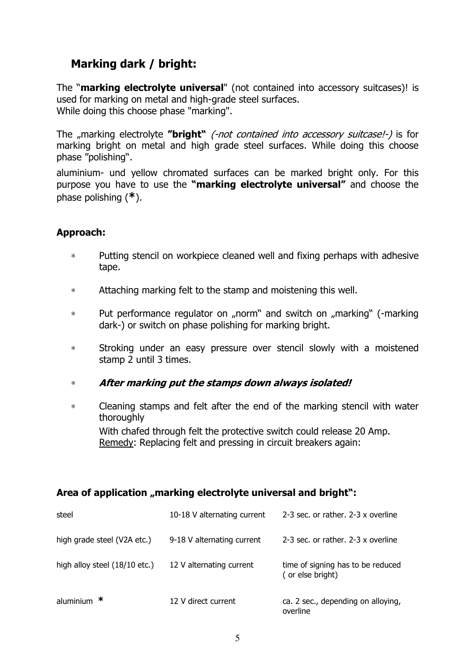### **Marking dark / bright:**

The "**marking electrolyte universal**" (not contained into accessory suitcases)! is used for marking on metal and high-grade steel surfaces. While doing this choose phase "marking".

The "marking electrolyte "**bright**" (-not contained into accessory suitcase!-) is for marking bright on metal and high grade steel surfaces. While doing this choose phase "polishing".

aluminium- und yellow chromated surfaces can be marked bright only. For this purpose you have to use the **"marking electrolyte universal"** and choose the phase polishing (**\***).

#### **Approach:**

- ∗ Putting stencil on workpiece cleaned well and fixing perhaps with adhesive tape.
- ∗ Attaching marking felt to the stamp and moistening this well.
- \* Put performance regulator on "norm" and switch on "marking" (-marking dark-) or switch on phase polishing for marking bright.
- ∗ Stroking under an easy pressure over stencil slowly with a moistened stamp 2 until 3 times.
- ∗ **After marking put the stamps down always isolated!**
- ∗ Cleaning stamps and felt after the end of the marking stencil with water thoroughly With chafed through felt the protective switch could release 20 Amp. Remedy: Replacing felt and pressing in circuit breakers again:

#### Area of application "marking electrolyte universal and bright":

| steel                         | 10-18 V alternating current | 2-3 sec. or rather. 2-3 x overline                    |
|-------------------------------|-----------------------------|-------------------------------------------------------|
| high grade steel (V2A etc.)   | 9-18 V alternating current  | 2-3 sec. or rather. 2-3 x overline                    |
| high alloy steel (18/10 etc.) | 12 V alternating current    | time of signing has to be reduced<br>(or else bright) |
| aluminium $*$                 | 12 V direct current         | ca. 2 sec., depending on alloying,<br>overline        |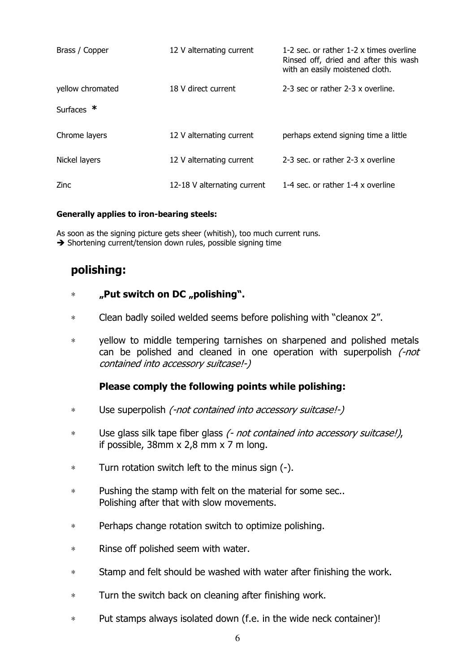| Brass / Copper   | 12 V alternating current    | 1-2 sec. or rather 1-2 x times overline<br>Rinsed off, dried and after this wash<br>with an easily moistened cloth. |
|------------------|-----------------------------|---------------------------------------------------------------------------------------------------------------------|
| yellow chromated | 18 V direct current         | 2-3 sec or rather 2-3 x overline.                                                                                   |
| Surfaces $*$     |                             |                                                                                                                     |
| Chrome layers    | 12 V alternating current    | perhaps extend signing time a little                                                                                |
| Nickel layers    | 12 V alternating current    | 2-3 sec. or rather 2-3 x overline                                                                                   |
| Zinc.            | 12-18 V alternating current | 1-4 sec. or rather 1-4 x overline                                                                                   |

#### **Generally applies to iron-bearing steels:**

As soon as the signing picture gets sheer (whitish), too much current runs.

 $\rightarrow$  Shortening current/tension down rules, possible signing time

#### **polishing:**

#### ∗ **"Put switch on DC "polishing".**

- ∗ Clean badly soiled welded seems before polishing with "cleanox 2".
- ∗ yellow to middle tempering tarnishes on sharpened and polished metals can be polished and cleaned in one operation with superpolish (-not contained into accessory suitcase!-)

#### **Please comply the following points while polishing:**

- ∗ Use superpolish (-not contained into accessory suitcase!-)
- ∗ Use glass silk tape fiber glass (- not contained into accessory suitcase!), if possible,  $38$ mm x  $2,8$  mm x  $7$  m long.
- ∗ Turn rotation switch left to the minus sign (-).
- ∗ Pushing the stamp with felt on the material for some sec.. Polishing after that with slow movements.
- ∗ Perhaps change rotation switch to optimize polishing.
- ∗ Rinse off polished seem with water.
- ∗ Stamp and felt should be washed with water after finishing the work.
- ∗ Turn the switch back on cleaning after finishing work.
- ∗ Put stamps always isolated down (f.e. in the wide neck container)!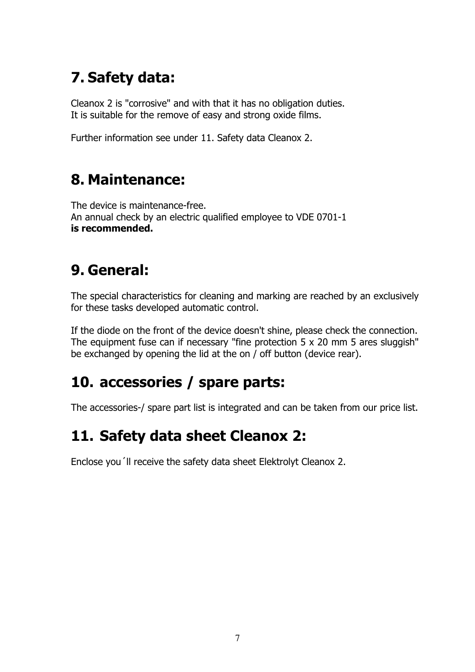## **7. Safety data:**

Cleanox 2 is "corrosive" and with that it has no obligation duties. It is suitable for the remove of easy and strong oxide films.

Further information see under 11. Safety data Cleanox 2.

### **8. Maintenance:**

The device is maintenance-free. An annual check by an electric qualified employee to VDE 0701-1 **is recommended.**

### **9. General:**

The special characteristics for cleaning and marking are reached by an exclusively for these tasks developed automatic control.

If the diode on the front of the device doesn't shine, please check the connection. The equipment fuse can if necessary "fine protection 5 x 20 mm 5 ares sluggish" be exchanged by opening the lid at the on / off button (device rear).

### **10. accessories / spare parts:**

The accessories-/ spare part list is integrated and can be taken from our price list.

### **11. Safety data sheet Cleanox 2:**

Enclose you´ll receive the safety data sheet Elektrolyt Cleanox 2.